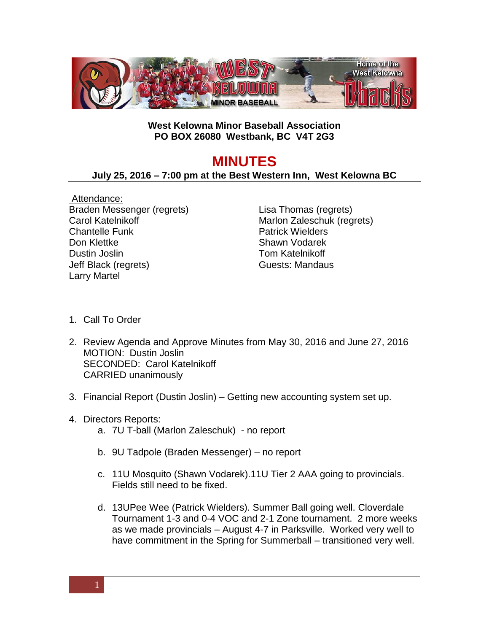

## **West Kelowna Minor Baseball Association PO BOX 26080 Westbank, BC V4T 2G3**

## **MINUTES**

## **July 25, 2016 – 7:00 pm at the Best Western Inn, West Kelowna BC**

Attendance: Braden Messenger (regrets) Carol Katelnikoff Chantelle Funk Don Klettke Dustin Joslin Jeff Black (regrets) Larry Martel

Lisa Thomas (regrets) Marlon Zaleschuk (regrets) Patrick Wielders Shawn Vodarek Tom Katelnikoff Guests: Mandaus

- 1. Call To Order
- 2. Review Agenda and Approve Minutes from May 30, 2016 and June 27, 2016 MOTION: Dustin Joslin SECONDED: Carol Katelnikoff CARRIED unanimously
- 3. Financial Report (Dustin Joslin) Getting new accounting system set up.
- 4. Directors Reports:
	- a. 7U T-ball (Marlon Zaleschuk) no report
	- b. 9U Tadpole (Braden Messenger) no report
	- c. 11U Mosquito (Shawn Vodarek).11U Tier 2 AAA going to provincials. Fields still need to be fixed.
	- d. 13UPee Wee (Patrick Wielders). Summer Ball going well. Cloverdale Tournament 1-3 and 0-4 VOC and 2-1 Zone tournament. 2 more weeks as we made provincials – August 4-7 in Parksville. Worked very well to have commitment in the Spring for Summerball – transitioned very well.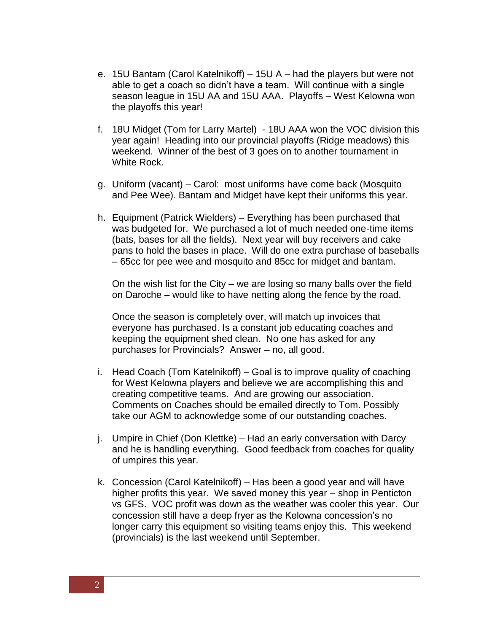- e. 15U Bantam (Carol Katelnikoff) 15U A had the players but were not able to get a coach so didn't have a team. Will continue with a single season league in 15U AA and 15U AAA. Playoffs – West Kelowna won the playoffs this year!
- f. 18U Midget (Tom for Larry Martel) 18U AAA won the VOC division this year again! Heading into our provincial playoffs (Ridge meadows) this weekend. Winner of the best of 3 goes on to another tournament in White Rock.
- g. Uniform (vacant) Carol: most uniforms have come back (Mosquito and Pee Wee). Bantam and Midget have kept their uniforms this year.
- h. Equipment (Patrick Wielders) Everything has been purchased that was budgeted for. We purchased a lot of much needed one-time items (bats, bases for all the fields). Next year will buy receivers and cake pans to hold the bases in place. Will do one extra purchase of baseballs – 65cc for pee wee and mosquito and 85cc for midget and bantam.

On the wish list for the City – we are losing so many balls over the field on Daroche – would like to have netting along the fence by the road.

Once the season is completely over, will match up invoices that everyone has purchased. Is a constant job educating coaches and keeping the equipment shed clean. No one has asked for any purchases for Provincials? Answer – no, all good.

- i. Head Coach (Tom Katelnikoff) Goal is to improve quality of coaching for West Kelowna players and believe we are accomplishing this and creating competitive teams. And are growing our association. Comments on Coaches should be emailed directly to Tom. Possibly take our AGM to acknowledge some of our outstanding coaches.
- j. Umpire in Chief (Don Klettke) Had an early conversation with Darcy and he is handling everything. Good feedback from coaches for quality of umpires this year.
- k. Concession (Carol Katelnikoff) Has been a good year and will have higher profits this year. We saved money this year – shop in Penticton vs GFS. VOC profit was down as the weather was cooler this year. Our concession still have a deep fryer as the Kelowna concession's no longer carry this equipment so visiting teams enjoy this. This weekend (provincials) is the last weekend until September.